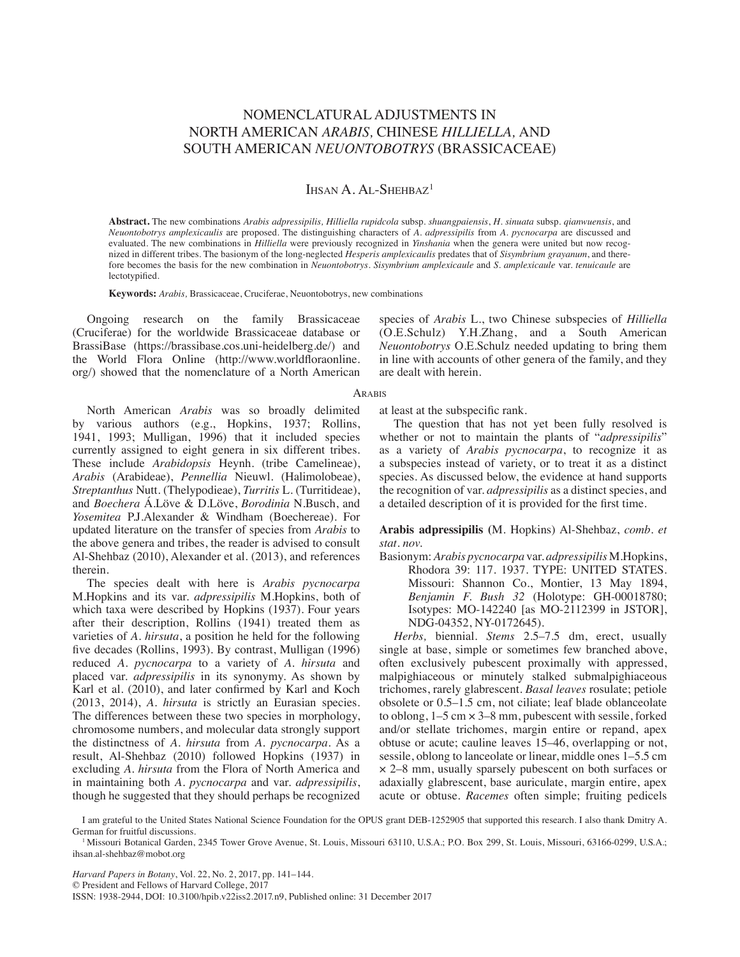# nomenclatural adjustments in North American *Arabis,* Chinese *Hilliella,* and South American *Neuontobotrys* (Brassicaceae)

## IHSAN A. AL-SHEHBAZ<sup>1</sup>

**Abstract.** The new combinations *Arabis adpressipilis, Hilliella rupidcola* subsp. *shuangpaiensis*, *H. sinuata* subsp. *qianwuensis*, and *Neuontobotrys amplexicaulis* are proposed. The distinguishing characters of *A. adpressipilis* from *A. pycnocarpa* are discussed and evaluated. The new combinations in *Hilliella* were previously recognized in *Yinshania* when the genera were united but now recognized in different tribes. The basionym of the long-neglected *Hesperis amplexicaulis* predates that of *Sisymbrium grayanum*, and therefore becomes the basis for the new combination in *Neuontobotrys*. *Sisymbrium amplexicaule* and *S. amplexicaule* var. *tenuicaule* are lectotypified.

**Keywords:** *Arabis,* Brassicaceae, Cruciferae, Neuontobotrys, new combinations

Ongoing research on the family Brassicaceae (Cruciferae) for the worldwide Brassicaceae database or BrassiBase (https://brassibase.cos.uni-heidelberg.de/) and the World Flora Online (http://www.worldfloraonline. org/) showed that the nomenclature of a North American species of *Arabis* L., two Chinese subspecies of *Hilliella*  (O.E.Schulz) Y.H.Zhang, and a South American *Neuontobotrys* O.E.Schulz needed updating to bring them in line with accounts of other genera of the family, and they are dealt with herein.

#### **ARABIS**

North American *Arabis* was so broadly delimited by various authors (e.g., Hopkins, 1937; Rollins, 1941, 1993; Mulligan, 1996) that it included species currently assigned to eight genera in six different tribes. These include *Arabidopsis* Heynh. (tribe Camelineae), *Arabis* (Arabideae), *Pennellia* Nieuwl. (Halimolobeae), *Streptanthus* Nutt. (Thelypodieae), *Turritis* L. (Turritideae), and *Boechera* Á.Löve & D.Löve, *Borodinia* N.Busch, and *Yosemitea* P.J.Alexander & Windham (Boechereae). For updated literature on the transfer of species from *Arabis* to the above genera and tribes, the reader is advised to consult Al-Shehbaz (2010), Alexander et al. (2013), and references therein.

The species dealt with here is *Arabis pycnocarpa* M.Hopkins and its var. *adpressipilis* M.Hopkins, both of which taxa were described by Hopkins (1937). Four years after their description, Rollins (1941) treated them as varieties of *A. hirsuta*, a position he held for the following five decades (Rollins, 1993). By contrast, Mulligan (1996) reduced *A. pycnocarpa* to a variety of *A. hirsuta* and placed var. *adpressipilis* in its synonymy. As shown by Karl et al. (2010), and later confirmed by Karl and Koch (2013, 2014), *A. hirsuta* is strictly an Eurasian species. The differences between these two species in morphology, chromosome numbers, and molecular data strongly support the distinctness of *A. hirsuta* from *A. pycnocarpa*. As a result, Al-Shehbaz (2010) followed Hopkins (1937) in excluding *A. hirsuta* from the Flora of North America and in maintaining both *A. pycnocarpa* and var. *adpressipilis*, though he suggested that they should perhaps be recognized

at least at the subspecific rank.

The question that has not yet been fully resolved is whether or not to maintain the plants of "*adpressipilis*" as a variety of *Arabis pycnocarpa*, to recognize it as a subspecies instead of variety, or to treat it as a distinct species. As discussed below, the evidence at hand supports the recognition of var. *adpressipilis* as a distinct species, and a detailed description of it is provided for the first time.

**Arabis adpressipilis (**M. Hopkins) Al-Shehbaz, *comb. et stat. nov.*

Basionym: *Arabis pycnocarpa* var. *adpressipilis* M.Hopkins, Rhodora 39: 117. 1937. TYPE: UNITED STATES. Missouri: Shannon Co., Montier, 13 May 1894, *Benjamin F. Bush 32* (Holotype: GH-00018780; Isotypes: MO-142240 [as MO-2112399 in JSTOR], NDG-04352, NY-0172645).

*Herbs,* biennial. *Stems* 2.5–7.5 dm, erect, usually single at base, simple or sometimes few branched above, often exclusively pubescent proximally with appressed, malpighiaceous or minutely stalked submalpighiaceous trichomes, rarely glabrescent. *Basal leaves* rosulate; petiole obsolete or 0.5–1.5 cm, not ciliate; leaf blade oblanceolate to oblong, 1–5 cm × 3–8 mm, pubescent with sessile, forked and/or stellate trichomes, margin entire or repand, apex obtuse or acute; cauline leaves 15–46, overlapping or not, sessile, oblong to lanceolate or linear, middle ones 1–5.5 cm × 2–8 mm, usually sparsely pubescent on both surfaces or adaxially glabrescent, base auriculate, margin entire, apex acute or obtuse. *Racemes* often simple; fruiting pedicels

*Harvard Papers in Botany*, Vol. 22, No. 2, 2017, pp. 141–144.

© President and Fellows of Harvard College, 2017

ISSN: 1938-2944, DOI: 10.3100/hpib.v22iss2.2017.n9, Published online: 31 December 2017

I am grateful to the United States National Science Foundation for the OPUS grant DEB-1252905 that supported this research. I also thank Dmitry A. German for fruitful discussions.

<sup>&</sup>lt;sup>1</sup> Missouri Botanical Garden, 2345 Tower Grove Avenue, St. Louis, Missouri 63110, U.S.A.; P.O. Box 299, St. Louis, Missouri, 63166-0299, U.S.A.; ihsan.al-shehbaz@mobot.org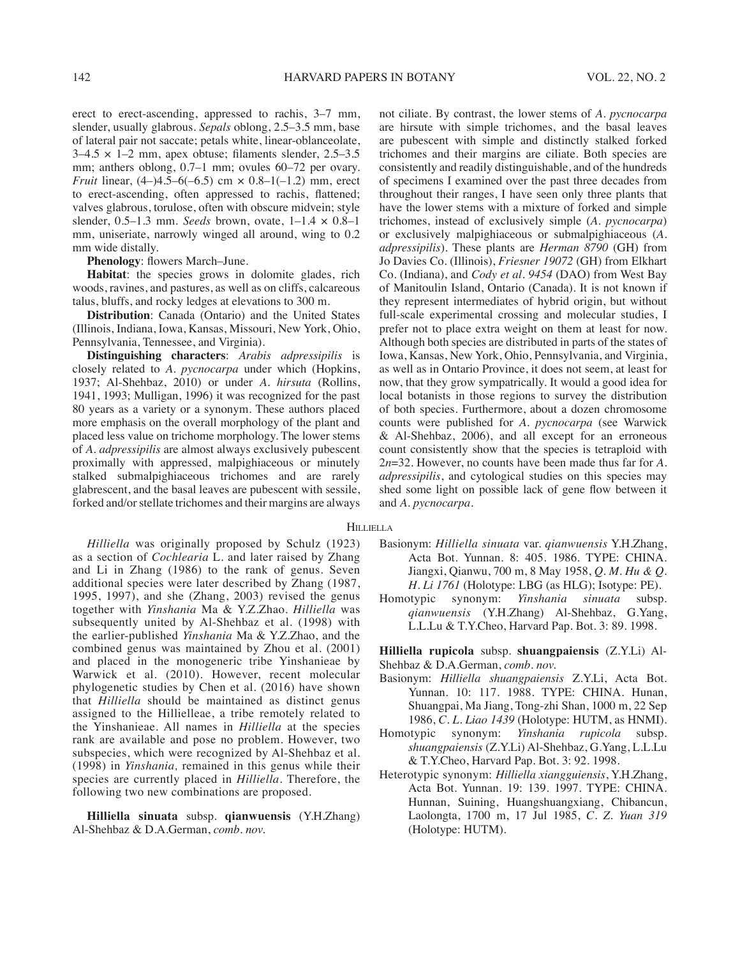erect to erect-ascending, appressed to rachis, 3–7 mm, slender, usually glabrous. *Sepals* oblong, 2.5–3.5 mm, base of lateral pair not saccate; petals white, linear-oblanceolate,  $3-4.5 \times 1-2$  mm, apex obtuse; filaments slender,  $2.5-3.5$ mm; anthers oblong, 0.7–1 mm; ovules 60–72 per ovary. *Fruit* linear,  $(4-)4.5-6(-6.5)$  cm  $\times$  0.8-1(-1.2) mm, erect to erect-ascending, often appressed to rachis, flattened; valves glabrous, torulose, often with obscure midvein; style slender, 0.5–1.3 mm. *Seeds* brown, ovate, 1–1.4 × 0.8–1 mm, uniseriate, narrowly winged all around, wing to 0.2 mm wide distally.

**Phenology**: flowers March–June.

**Habitat**: the species grows in dolomite glades, rich woods, ravines, and pastures, as well as on cliffs, calcareous talus, bluffs, and rocky ledges at elevations to 300 m.

**Distribution**: Canada (Ontario) and the United States (Illinois, Indiana, Iowa, Kansas, Missouri, New York, Ohio, Pennsylvania, Tennessee, and Virginia).

**Distinguishing characters**: *Arabis adpressipilis* is closely related to *A. pycnocarpa* under which (Hopkins, 1937; Al-Shehbaz, 2010) or under *A. hirsuta* (Rollins, 1941, 1993; Mulligan, 1996) it was recognized for the past 80 years as a variety or a synonym. These authors placed more emphasis on the overall morphology of the plant and placed less value on trichome morphology. The lower stems of *A. adpressipilis* are almost always exclusively pubescent proximally with appressed, malpighiaceous or minutely stalked submalpighiaceous trichomes and are rarely glabrescent, and the basal leaves are pubescent with sessile, forked and/or stellate trichomes and their margins are always

not ciliate. By contrast, the lower stems of *A. pycnocarpa* are hirsute with simple trichomes, and the basal leaves are pubescent with simple and distinctly stalked forked trichomes and their margins are ciliate. Both species are consistently and readily distinguishable, and of the hundreds of specimens I examined over the past three decades from throughout their ranges, I have seen only three plants that have the lower stems with a mixture of forked and simple trichomes, instead of exclusively simple (*A. pycnocarpa*) or exclusively malpighiaceous or submalpighiaceous (*A. adpressipilis*). These plants are *Herman 8790* (GH) from Jo Davies Co. (Illinois), *Friesner 19072* (GH) from Elkhart Co. (Indiana), and *Cody et al. 9454* (DAO) from West Bay of Manitoulin Island, Ontario (Canada). It is not known if they represent intermediates of hybrid origin, but without full-scale experimental crossing and molecular studies, I prefer not to place extra weight on them at least for now. Although both species are distributed in parts of the states of Iowa, Kansas, New York, Ohio, Pennsylvania, and Virginia, as well as in Ontario Province, it does not seem, at least for now, that they grow sympatrically. It would a good idea for local botanists in those regions to survey the distribution of both species. Furthermore, about a dozen chromosome counts were published for *A. pycnocarpa* (see Warwick & Al-Shehbaz, 2006), and all except for an erroneous count consistently show that the species is tetraploid with 2*n*=32. However, no counts have been made thus far for *A. adpressipilis*, and cytological studies on this species may shed some light on possible lack of gene flow between it and *A. pycnocarpa.*

#### **HILLIELLA**

*Hilliella* was originally proposed by Schulz (1923) as a section of *Cochlearia* L. and later raised by Zhang and Li in Zhang (1986) to the rank of genus. Seven additional species were later described by Zhang (1987, 1995, 1997), and she (Zhang, 2003) revised the genus together with *Yinshania* Ma & Y.Z.Zhao. *Hilliella* was subsequently united by Al-Shehbaz et al. (1998) with the earlier-published *Yinshania* Ma & Y.Z.Zhao, and the combined genus was maintained by Zhou et al. (2001) and placed in the monogeneric tribe Yinshanieae by Warwick et al. (2010). However, recent molecular phylogenetic studies by Chen et al. (2016) have shown that *Hilliella* should be maintained as distinct genus assigned to the Hillielleae, a tribe remotely related to the Yinshanieae. All names in *Hilliella* at the species rank are available and pose no problem. However, two subspecies, which were recognized by Al-Shehbaz et al. (1998) in *Yinshania,* remained in this genus while their species are currently placed in *Hilliella*. Therefore, the following two new combinations are proposed.

**Hilliella sinuata** subsp. **qianwuensis** (Y.H.Zhang) Al-Shehbaz & D.A.German, *comb. nov.*

- Basionym: *Hilliella sinuata* var. *qianwuensis* Y.H.Zhang, Acta Bot. Yunnan. 8: 405. 1986. TYPE: CHINA. Jiangxi, Qianwu, 700 m, 8 May 1958, *Q. M. Hu & Q. H. Li 1761* (Holotype: LBG (as HLG); Isotype: PE).
- Homotypic synonym: *Yinshania sinuata* subsp. *qianwuensis* (Y.H.Zhang) Al-Shehbaz, G.Yang, L.L.Lu & T.Y.Cheo, Harvard Pap. Bot. 3: 89. 1998.

**Hilliella rupicola** subsp. **shuangpaiensis** (Z.Y.Li) Al-Shehbaz & D.A.German, *comb. nov.*

- Basionym: *Hilliella shuangpaiensis* Z.Y.Li, Acta Bot. Yunnan. 10: 117. 1988. TYPE: CHINA. Hunan, Shuangpai, Ma Jiang, Tong-zhi Shan, 1000 m, 22 Sep 1986, *C. L. Liao 1439* (Holotype: HUTM, as HNMI).
- Homotypic synonym: *Yinshania rupicola* subsp. *shuangpaiensis* (Z.Y.Li) Al-Shehbaz, G.Yang, L.L.Lu & T.Y.Cheo, Harvard Pap. Bot. 3: 92. 1998.
- Heterotypic synonym: *Hilliella xiangguiensis*, Y.H.Zhang, Acta Bot. Yunnan. 19: 139. 1997. TYPE: CHINA. Hunnan, Suining, Huangshuangxiang, Chibancun, Laolongta, 1700 m, 17 Jul 1985, *C. Z. Yuan 319* (Holotype: HUTM).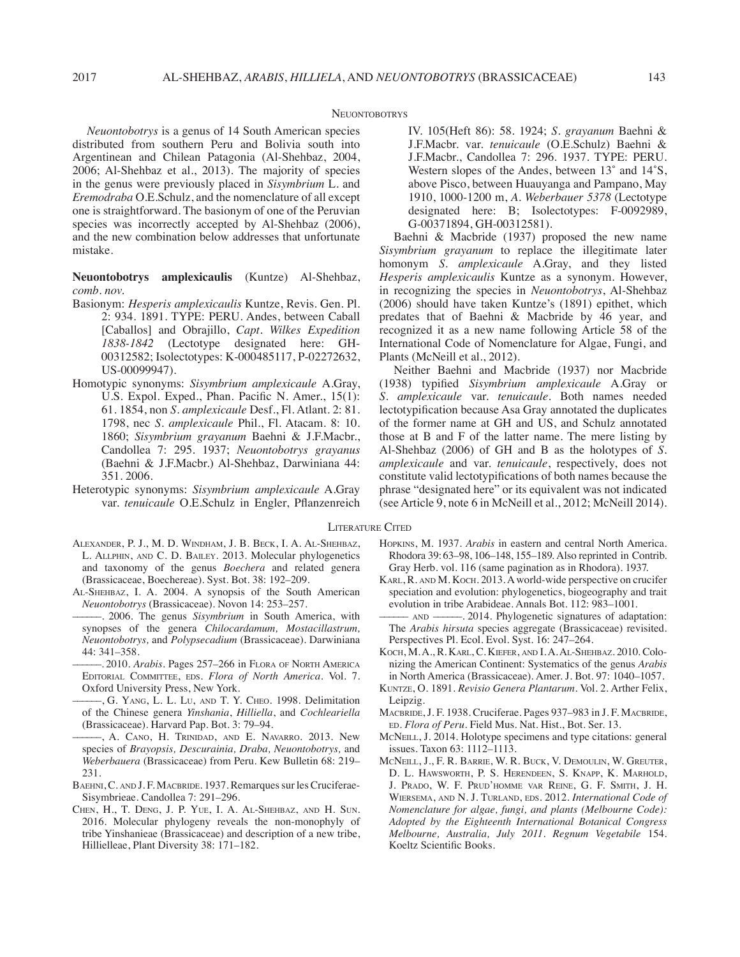#### **NEUONTOBOTRYS**

*Neuontobotrys* is a genus of 14 South American species distributed from southern Peru and Bolivia south into Argentinean and Chilean Patagonia (Al-Shehbaz, 2004, 2006; Al-Shehbaz et al., 2013). The majority of species in the genus were previously placed in *Sisymbrium* L. and *Eremodraba* O.E.Schulz, and the nomenclature of all except one is straightforward. The basionym of one of the Peruvian species was incorrectly accepted by Al-Shehbaz (2006), and the new combination below addresses that unfortunate mistake.

**Neuontobotrys amplexicaulis** (Kuntze) Al-Shehbaz, *comb. nov.*

- Basionym: *Hesperis amplexicaulis* Kuntze, Revis. Gen. Pl. 2: 934. 1891. TYPE: PERU. Andes, between Caball [Caballos] and Obrajillo, *Capt. Wilkes Expedition 1838-1842* (Lectotype designated here: GH-00312582; Isolectotypes: K-000485117, P-02272632, US-00099947).
- Homotypic synonyms: *Sisymbrium amplexicaule* A.Gray, U.S. Expol. Exped., Phan. Pacific N. Amer., 15(1): 61. 1854, non *S. amplexicaule* Desf., Fl. Atlant. 2: 81. 1798, nec *S. amplexicaule* Phil., Fl. Atacam. 8: 10. 1860; *Sisymbrium grayanum* Baehni & J.F.Macbr., Candollea 7: 295. 1937; *Neuontobotrys grayanus* (Baehni & J.F.Macbr.) Al-Shehbaz, Darwiniana 44: 351. 2006.
- Heterotypic synonyms: *Sisymbrium amplexicaule* A.Gray var. *tenuicaule* O.E.Schulz in Engler, Pflanzenreich
- Alexander, P. J., M. D. Windham, J. B. Beck, I. A. Al-Shehbaz, L. Allphin, and C. D. Bailey. 2013. Molecular phylogenetics and taxonomy of the genus *Boechera* and related genera (Brassicaceae, Boechereae). Syst. Bot. 38: 192–209.
- Al-Shehbaz, I. A. 2004. A synopsis of the South American *Neuontobotrys* (Brassicaceae). Novon 14: 253–257.
- ––––––. 2006. The genus *Sisymbrium* in South America, with synopses of the genera *Chilocardamum, Mostacillastrum, Neuontobotrys,* and *Polypsecadium* (Brassicaceae). Darwiniana 44: 341–358.
- ––––––. 2010. *Arabis*. Pages 257–266 in Flora of North America Editorial Committee, eds. *Flora of North America.* Vol. 7. Oxford University Press, New York.
- ––––––, G. Yang, L. L. Lu, and T. Y. Cheo. 1998. Delimitation of the Chinese genera *Yinshania*, *Hilliella*, and *Cochleariella* (Brassicaceae). Harvard Pap. Bot. 3: 79–94.
- ––––––, A. Cano, H. Trinidad, and E. Navarro. 2013. New species of *Brayopsis, Descurainia, Draba, Neuontobotrys,* and *Weberbauera* (Brassicaceae) from Peru. Kew Bulletin 68: 219– 231.
- BAEHNI, C. AND J. F. MACBRIDE. 1937. Remarques sur les Cruciferae-Sisymbrieae. Candollea 7: 291–296.
- Chen, H., T. Deng, J. P. Yue, I. A. Al-Shehbaz, and H. Sun. 2016. Molecular phylogeny reveals the non-monophyly of tribe Yinshanieae (Brassicaceae) and description of a new tribe, Hillielleae, Plant Diversity 38: 171–182.

IV. 105(Heft 86): 58. 1924; *S. grayanum* Baehni & J.F.Macbr. var. *tenuicaule* (O.E.Schulz) Baehni & J.F.Macbr., Candollea 7: 296. 1937. TYPE: PERU. Western slopes of the Andes, between 13˚ and 14˚S, above Pisco, between Huauyanga and Pampano, May 1910, 1000-1200 m, *A. Weberbauer 5378* (Lectotype designated here: B; Isolectotypes: F-0092989, G-00371894, GH-00312581).

Baehni & Macbride (1937) proposed the new name *Sisymbrium grayanum* to replace the illegitimate later homonym *S. amplexicaule* A.Gray, and they listed *Hesperis amplexicaulis* Kuntze as a synonym. However, in recognizing the species in *Neuontobotrys*, Al-Shehbaz (2006) should have taken Kuntze's (1891) epithet, which predates that of Baehni & Macbride by 46 year, and recognized it as a new name following Article 58 of the International Code of Nomenclature for Algae, Fungi, and Plants (McNeill et al., 2012).

Neither Baehni and Macbride (1937) nor Macbride (1938) typified *Sisymbrium amplexicaule* A.Gray or *S. amplexicaule* var. *tenuicaule*. Both names needed lectotypification because Asa Gray annotated the duplicates of the former name at GH and US, and Schulz annotated those at B and F of the latter name. The mere listing by Al-Shehbaz (2006) of GH and B as the holotypes of *S. amplexicaule* and var. *tenuicaule*, respectively, does not constitute valid lectotypifications of both names because the phrase "designated here" or its equivalent was not indicated (see Article 9, note 6 in McNeill et al., 2012; McNeill 2014).

### Literature Cited

- Hopkins, M. 1937. *Arabis* in eastern and central North America. Rhodora 39:63–98, 106–148, 155–189. Also reprinted in Contrib. Gray Herb. vol. 116 (same pagination as in Rhodora). 1937.
- Karl, R. and M. Koch. 2013. A world-wide perspective on crucifer speciation and evolution: phylogenetics, biogeography and trait evolution in tribe Arabideae. Annals Bot. 112: 983–1001.
- AND ——––. 2014. Phylogenetic signatures of adaptation: The *Arabis hirsuta* species aggregate (Brassicaceae) revisited. Perspectives Pl. Ecol. Evol. Syst. 16: 247–264.
- Koch, M. A., R. Karl, C. Kiefer, and I. A. Al-Shehbaz. 2010. Colonizing the American Continent: Systematics of the genus *Arabis*  in North America (Brassicaceae). Amer. J. Bot. 97: 1040–1057.
- Kuntze, O. 1891. *Revisio Genera Plantarum*. Vol. 2. Arther Felix, Leipzig.
- MACBRIDE, J. F. 1938. Cruciferae. Pages 937–983 in J. F. MACBRIDE, ed. *Flora of Peru*. Field Mus. Nat. Hist., Bot. Ser. 13.
- MCNEILL, J. 2014. Holotype specimens and type citations: general issues. Taxon 63: 1112–1113.
- McNeill, J., F. R. Barrie, W. R. Buck, V. Demoulin, W. Greuter, D. L. Hawsworth, P. S. Herendeen, S. Knapp, K. Marhold, J. Prado, W. F. Prud'homme var Reine, G. F. Smith, J. H. Wiersema, and N. J. Turland, eds. 2012. *International Code of Nomenclature for algae, fungi, and plants (Melbourne Code): Adopted by the Eighteenth International Botanical Congress Melbourne, Australia, July 2011. Regnum Vegetabile* 154. Koeltz Scientific Books.